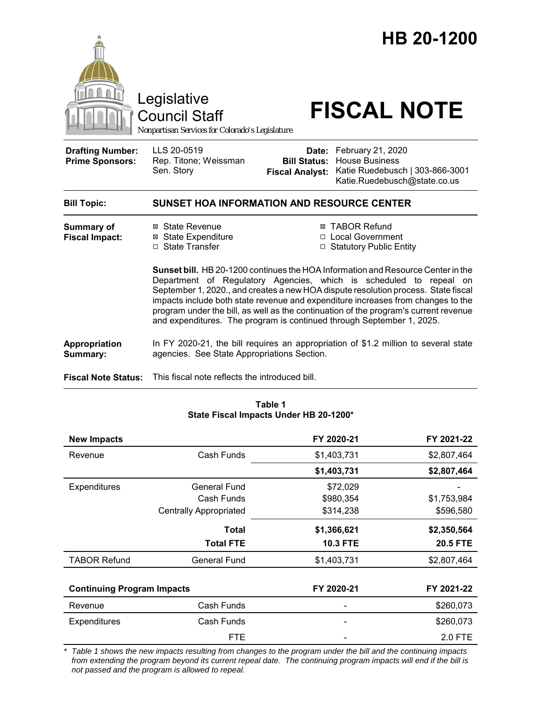

| <b>New Impacts</b>                |                               | FY 2020-21      | FY 2021-22      |
|-----------------------------------|-------------------------------|-----------------|-----------------|
| Revenue                           | Cash Funds                    | \$1,403,731     | \$2,807,464     |
|                                   |                               | \$1,403,731     | \$2,807,464     |
| Expenditures                      | <b>General Fund</b>           | \$72,029        |                 |
|                                   | Cash Funds                    | \$980,354       | \$1,753,984     |
|                                   | <b>Centrally Appropriated</b> | \$314,238       | \$596,580       |
|                                   | Total                         | \$1,366,621     | \$2,350,564     |
|                                   | <b>Total FTE</b>              | <b>10.3 FTE</b> | <b>20.5 FTE</b> |
| <b>TABOR Refund</b>               | <b>General Fund</b>           | \$1,403,731     | \$2,807,464     |
|                                   |                               |                 |                 |
| <b>Continuing Program Impacts</b> |                               | FY 2020-21      | FY 2021-22      |
| Revenue                           | Cash Funds                    |                 | \$260,073       |
| <b>Expenditures</b>               | Cash Funds                    |                 | \$260,073       |
|                                   | <b>FTE</b>                    |                 | 2.0 FTE         |

**State Fiscal Impacts Under HB 20-1200\***

*\* Table 1 shows the new impacts resulting from changes to the program under the bill and the continuing impacts from extending the program beyond its current repeal date. The continuing program impacts will end if the bill is not passed and the program is allowed to repeal.*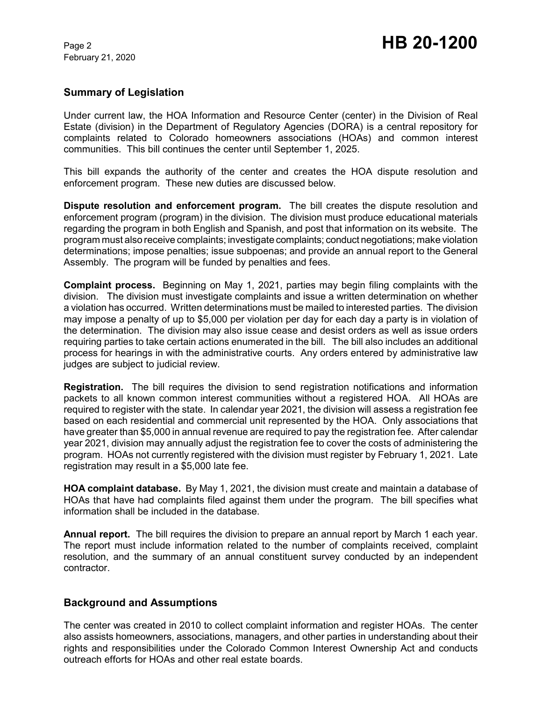## **Summary of Legislation**

Under current law, the HOA Information and Resource Center (center) in the Division of Real Estate (division) in the Department of Regulatory Agencies (DORA) is a central repository for complaints related to Colorado homeowners associations (HOAs) and common interest communities. This bill continues the center until September 1, 2025.

This bill expands the authority of the center and creates the HOA dispute resolution and enforcement program. These new duties are discussed below.

**Dispute resolution and enforcement program.** The bill creates the dispute resolution and enforcement program (program) in the division. The division must produce educational materials regarding the program in both English and Spanish, and post that information on its website. The program must also receive complaints; investigate complaints; conduct negotiations; make violation determinations; impose penalties; issue subpoenas; and provide an annual report to the General Assembly. The program will be funded by penalties and fees.

**Complaint process.** Beginning on May 1, 2021, parties may begin filing complaints with the division. The division must investigate complaints and issue a written determination on whether a violation has occurred. Written determinations must be mailed to interested parties. The division may impose a penalty of up to \$5,000 per violation per day for each day a party is in violation of the determination. The division may also issue cease and desist orders as well as issue orders requiring parties to take certain actions enumerated in the bill. The bill also includes an additional process for hearings in with the administrative courts. Any orders entered by administrative law judges are subject to judicial review.

**Registration.** The bill requires the division to send registration notifications and information packets to all known common interest communities without a registered HOA. All HOAs are required to register with the state. In calendar year 2021, the division will assess a registration fee based on each residential and commercial unit represented by the HOA. Only associations that have greater than \$5,000 in annual revenue are required to pay the registration fee. After calendar year 2021, division may annually adjust the registration fee to cover the costs of administering the program. HOAs not currently registered with the division must register by February 1, 2021. Late registration may result in a \$5,000 late fee.

**HOA complaint database.** By May 1, 2021, the division must create and maintain a database of HOAs that have had complaints filed against them under the program. The bill specifies what information shall be included in the database.

**Annual report.** The bill requires the division to prepare an annual report by March 1 each year. The report must include information related to the number of complaints received, complaint resolution, and the summary of an annual constituent survey conducted by an independent contractor.

## **Background and Assumptions**

The center was created in 2010 to collect complaint information and register HOAs. The center also assists homeowners, associations, managers, and other parties in understanding about their rights and responsibilities under the Colorado Common Interest Ownership Act and conducts outreach efforts for HOAs and other real estate boards.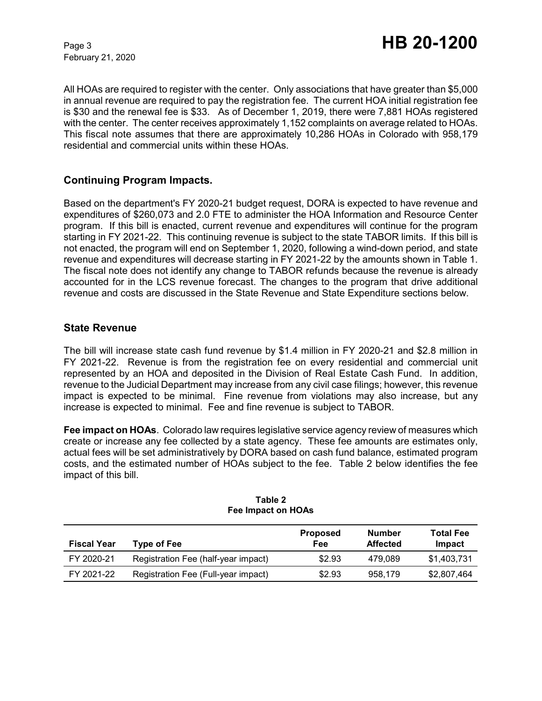All HOAs are required to register with the center. Only associations that have greater than \$5,000 in annual revenue are required to pay the registration fee. The current HOA initial registration fee is \$30 and the renewal fee is \$33. As of December 1, 2019, there were 7,881 HOAs registered with the center. The center receives approximately 1,152 complaints on average related to HOAs. This fiscal note assumes that there are approximately 10,286 HOAs in Colorado with 958,179 residential and commercial units within these HOAs.

## **Continuing Program Impacts.**

Based on the department's FY 2020-21 budget request, DORA is expected to have revenue and expenditures of \$260,073 and 2.0 FTE to administer the HOA Information and Resource Center program. If this bill is enacted, current revenue and expenditures will continue for the program starting in FY 2021-22. This continuing revenue is subject to the state TABOR limits. If this bill is not enacted, the program will end on September 1, 2020, following a wind-down period, and state revenue and expenditures will decrease starting in FY 2021-22 by the amounts shown in Table 1. The fiscal note does not identify any change to TABOR refunds because the revenue is already accounted for in the LCS revenue forecast. The changes to the program that drive additional revenue and costs are discussed in the State Revenue and State Expenditure sections below.

## **State Revenue**

The bill will increase state cash fund revenue by \$1.4 million in FY 2020-21 and \$2.8 million in FY 2021-22. Revenue is from the registration fee on every residential and commercial unit represented by an HOA and deposited in the Division of Real Estate Cash Fund. In addition, revenue to the Judicial Department may increase from any civil case filings; however, this revenue impact is expected to be minimal. Fine revenue from violations may also increase, but any increase is expected to minimal. Fee and fine revenue is subject to TABOR.

**Fee impact on HOAs**. Colorado law requires legislative service agency review of measures which create or increase any fee collected by a state agency. These fee amounts are estimates only, actual fees will be set administratively by DORA based on cash fund balance, estimated program costs, and the estimated number of HOAs subject to the fee. Table 2 below identifies the fee impact of this bill.

| <b>Fiscal Year</b> | Type of Fee                         | <b>Proposed</b><br>Fee | Number<br><b>Affected</b> | <b>Total Fee</b><br>Impact |
|--------------------|-------------------------------------|------------------------|---------------------------|----------------------------|
| FY 2020-21         | Registration Fee (half-year impact) | \$2.93                 | 479.089                   | \$1,403,731                |
| FY 2021-22         | Registration Fee (Full-year impact) | \$2.93                 | 958.179                   | \$2,807,464                |

#### **Table 2 Fee Impact on HOAs**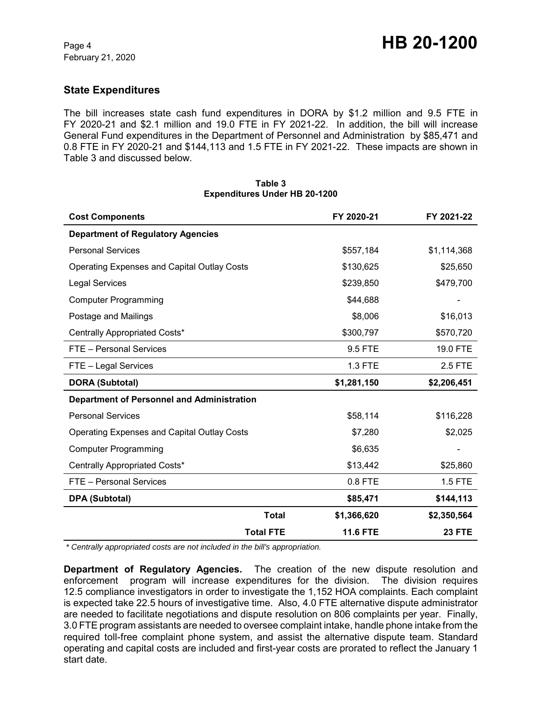## **State Expenditures**

The bill increases state cash fund expenditures in DORA by \$1.2 million and 9.5 FTE in FY 2020-21 and \$2.1 million and 19.0 FTE in FY 2021-22. In addition, the bill will increase General Fund expenditures in the Department of Personnel and Administration by \$85,471 and 0.8 FTE in FY 2020-21 and \$144,113 and 1.5 FTE in FY 2021-22. These impacts are shown in Table 3 and discussed below.

| <b>Cost Components</b>                             | FY 2020-21                  | FY 2021-22    |
|----------------------------------------------------|-----------------------------|---------------|
| <b>Department of Regulatory Agencies</b>           |                             |               |
| <b>Personal Services</b>                           | \$557,184                   | \$1,114,368   |
| <b>Operating Expenses and Capital Outlay Costs</b> | \$130,625                   | \$25,650      |
| <b>Legal Services</b>                              | \$239,850                   | \$479,700     |
| <b>Computer Programming</b>                        | \$44,688                    |               |
| Postage and Mailings                               | \$8,006                     | \$16,013      |
| Centrally Appropriated Costs*                      | \$300,797                   | \$570,720     |
| FTE - Personal Services                            | 9.5 FTE                     | 19.0 FTE      |
| FTE - Legal Services                               | 1.3 FTE                     | 2.5 FTE       |
| <b>DORA (Subtotal)</b>                             | \$1,281,150                 | \$2,206,451   |
| <b>Department of Personnel and Administration</b>  |                             |               |
| <b>Personal Services</b>                           | \$58,114                    | \$116,228     |
| <b>Operating Expenses and Capital Outlay Costs</b> | \$7,280                     | \$2,025       |
| <b>Computer Programming</b>                        | \$6,635                     |               |
| Centrally Appropriated Costs*                      | \$13,442                    | \$25,860      |
| FTE - Personal Services                            | $0.8$ FTE                   | 1.5 FTE       |
| <b>DPA (Subtotal)</b>                              | \$85,471                    | \$144,113     |
|                                                    | <b>Total</b><br>\$1,366,620 | \$2,350,564   |
| <b>Total FTE</b>                                   | <b>11.6 FTE</b>             | <b>23 FTE</b> |

### **Table 3 Expenditures Under HB 20-1200**

 *\* Centrally appropriated costs are not included in the bill's appropriation.*

**Department of Regulatory Agencies.** The creation of the new dispute resolution and enforcement program will increase expenditures for the division. The division requires 12.5 compliance investigators in order to investigate the 1,152 HOA complaints. Each complaint is expected take 22.5 hours of investigative time. Also, 4.0 FTE alternative dispute administrator are needed to facilitate negotiations and dispute resolution on 806 complaints per year. Finally, 3.0 FTE program assistants are needed to oversee complaint intake, handle phone intake from the required toll-free complaint phone system, and assist the alternative dispute team. Standard operating and capital costs are included and first-year costs are prorated to reflect the January 1 start date.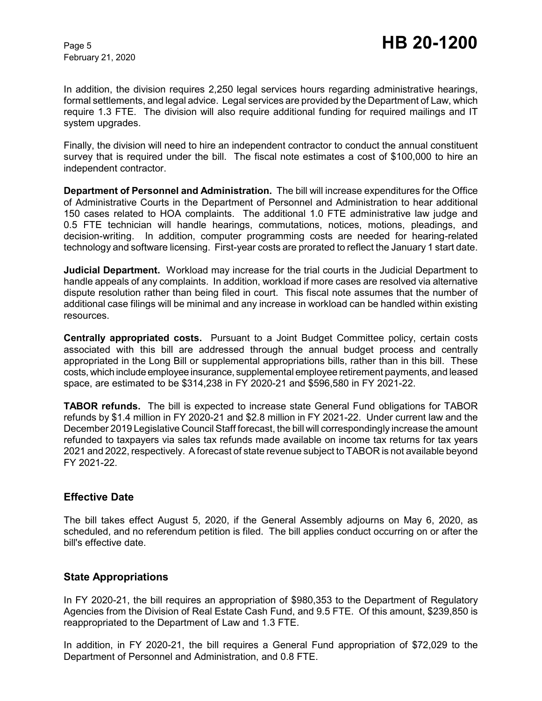In addition, the division requires 2,250 legal services hours regarding administrative hearings, formal settlements, and legal advice. Legal services are provided by the Department of Law, which require 1.3 FTE. The division will also require additional funding for required mailings and IT system upgrades.

Finally, the division will need to hire an independent contractor to conduct the annual constituent survey that is required under the bill. The fiscal note estimates a cost of \$100,000 to hire an independent contractor.

**Department of Personnel and Administration.** The bill will increase expenditures for the Office of Administrative Courts in the Department of Personnel and Administration to hear additional 150 cases related to HOA complaints. The additional 1.0 FTE administrative law judge and 0.5 FTE technician will handle hearings, commutations, notices, motions, pleadings, and decision-writing. In addition, computer programming costs are needed for hearing-related technology and software licensing. First-year costs are prorated to reflect the January 1 start date.

**Judicial Department.** Workload may increase for the trial courts in the Judicial Department to handle appeals of any complaints. In addition, workload if more cases are resolved via alternative dispute resolution rather than being filed in court. This fiscal note assumes that the number of additional case filings will be minimal and any increase in workload can be handled within existing resources.

**Centrally appropriated costs.** Pursuant to a Joint Budget Committee policy, certain costs associated with this bill are addressed through the annual budget process and centrally appropriated in the Long Bill or supplemental appropriations bills, rather than in this bill. These costs, which include employee insurance, supplemental employee retirement payments, and leased space, are estimated to be \$314,238 in FY 2020-21 and \$596,580 in FY 2021-22.

**TABOR refunds.** The bill is expected to increase state General Fund obligations for TABOR refunds by \$1.4 million in FY 2020-21 and \$2.8 million in FY 2021-22. Under current law and the December 2019 Legislative Council Staff forecast, the bill will correspondingly increase the amount refunded to taxpayers via sales tax refunds made available on income tax returns for tax years 2021 and 2022, respectively. A forecast of state revenue subject to TABOR is not available beyond FY 2021-22.

## **Effective Date**

The bill takes effect August 5, 2020, if the General Assembly adjourns on May 6, 2020, as scheduled, and no referendum petition is filed. The bill applies conduct occurring on or after the bill's effective date.

## **State Appropriations**

In FY 2020-21, the bill requires an appropriation of \$980,353 to the Department of Regulatory Agencies from the Division of Real Estate Cash Fund, and 9.5 FTE. Of this amount, \$239,850 is reappropriated to the Department of Law and 1.3 FTE.

In addition, in FY 2020-21, the bill requires a General Fund appropriation of \$72,029 to the Department of Personnel and Administration, and 0.8 FTE.